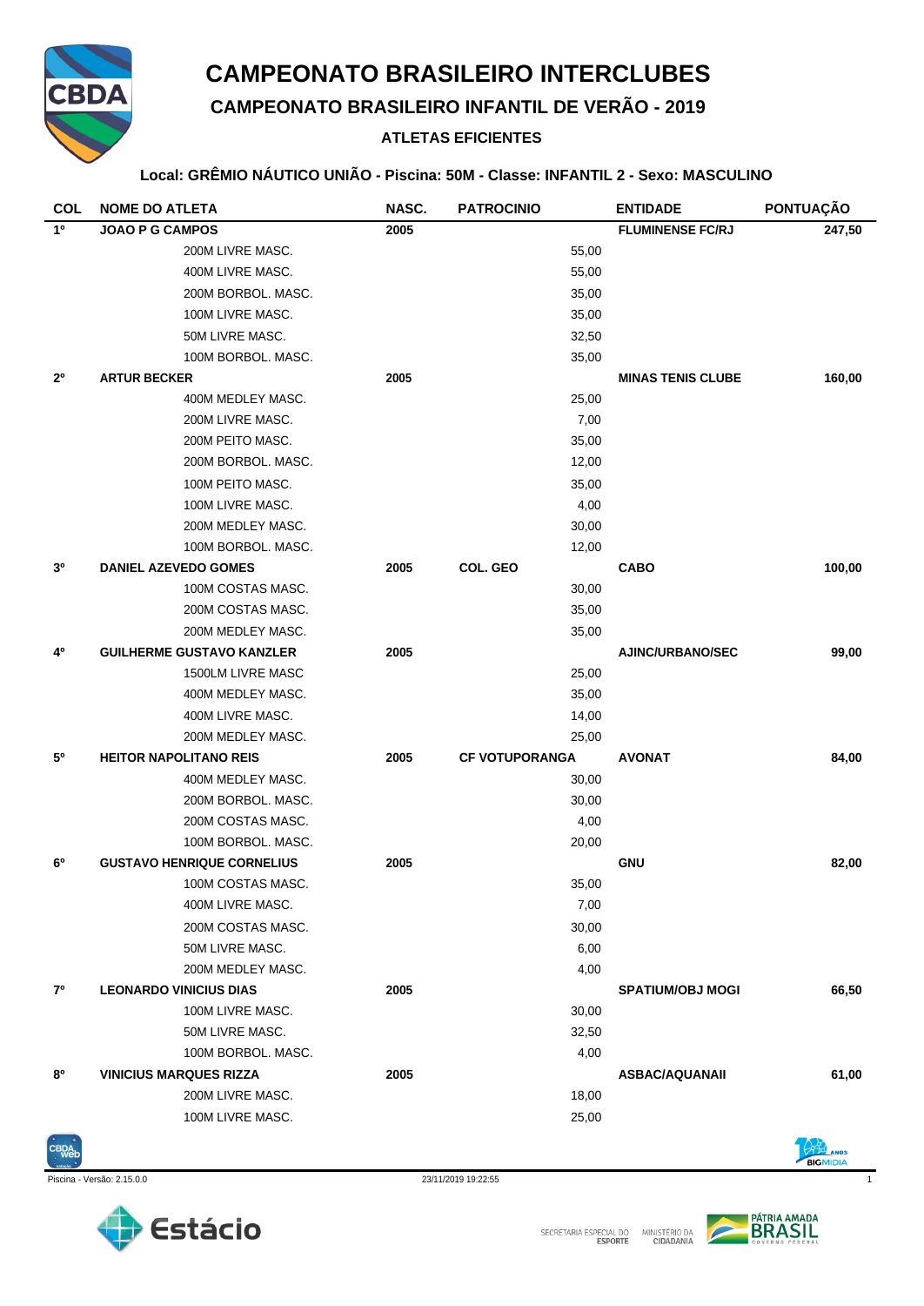

# **CAMPEONATO BRASILEIRO INTERCLUBES**

**CAMPEONATO BRASILEIRO INFANTIL DE VERÃO - 2019**

### **ATLETAS EFICIENTES**

#### **Local: GRÊMIO NÁUTICO UNIÃO - Piscina: 50M - Classe: INFANTIL 2 - Sexo: MASCULINO**

| <b>COL</b>     | <b>NOME DO ATLETA</b>             | NASC. | <b>PATROCINIO</b>     | <b>ENTIDADE</b>          | PONTUAÇÃO |
|----------------|-----------------------------------|-------|-----------------------|--------------------------|-----------|
| $1^{\circ}$    | <b>JOAO P G CAMPOS</b>            | 2005  |                       | <b>FLUMINENSE FC/RJ</b>  | 247,50    |
|                | 200M LIVRE MASC.                  |       | 55,00                 |                          |           |
|                | 400M LIVRE MASC.                  |       | 55,00                 |                          |           |
|                | 200M BORBOL. MASC.                |       | 35,00                 |                          |           |
|                | 100M LIVRE MASC.                  |       | 35,00                 |                          |           |
|                | 50M LIVRE MASC.                   |       | 32,50                 |                          |           |
|                | 100M BORBOL, MASC.                |       | 35,00                 |                          |           |
| $2^{\circ}$    | <b>ARTUR BECKER</b>               | 2005  |                       | <b>MINAS TENIS CLUBE</b> | 160,00    |
|                | 400M MEDLEY MASC.                 |       | 25,00                 |                          |           |
|                | 200M LIVRE MASC.                  |       | 7,00                  |                          |           |
|                | 200M PEITO MASC.                  |       | 35,00                 |                          |           |
|                | 200M BORBOL. MASC.                |       | 12,00                 |                          |           |
|                | 100M PEITO MASC.                  |       | 35,00                 |                          |           |
|                | 100M LIVRE MASC.                  |       | 4,00                  |                          |           |
|                | 200M MEDLEY MASC.                 |       | 30,00                 |                          |           |
|                | 100M BORBOL, MASC.                |       | 12,00                 |                          |           |
| 3 <sup>o</sup> | <b>DANIEL AZEVEDO GOMES</b>       | 2005  | COL. GEO              | <b>CABO</b>              | 100,00    |
|                | 100M COSTAS MASC.                 |       | 30,00                 |                          |           |
|                | 200M COSTAS MASC.                 |       | 35,00                 |                          |           |
|                | 200M MEDLEY MASC.                 |       | 35,00                 |                          |           |
| 4º             | <b>GUILHERME GUSTAVO KANZLER</b>  | 2005  |                       | <b>AJINC/URBANO/SEC</b>  | 99,00     |
|                | 1500LM LIVRE MASC                 |       | 25,00                 |                          |           |
|                | 400M MEDLEY MASC.                 |       | 35,00                 |                          |           |
|                | 400M LIVRE MASC.                  |       | 14,00                 |                          |           |
|                | 200M MEDLEY MASC.                 |       | 25,00                 |                          |           |
| 50             | <b>HEITOR NAPOLITANO REIS</b>     | 2005  | <b>CF VOTUPORANGA</b> | <b>AVONAT</b>            | 84,00     |
|                | 400M MEDLEY MASC.                 |       | 30,00                 |                          |           |
|                | 200M BORBOL. MASC.                |       | 30,00                 |                          |           |
|                | 200M COSTAS MASC.                 |       | 4,00                  |                          |           |
|                | 100M BORBOL. MASC.                |       | 20,00                 |                          |           |
| 6 <sup>0</sup> | <b>GUSTAVO HENRIQUE CORNELIUS</b> | 2005  |                       | <b>GNU</b>               | 82,00     |
|                | 100M COSTAS MASC.                 |       | 35,00                 |                          |           |
|                | 400M LIVRE MASC.                  |       | 7,00                  |                          |           |
|                | 200M COSTAS MASC.                 |       | 30,00                 |                          |           |
|                | 50M LIVRE MASC.                   |       | 6,00                  |                          |           |
|                | 200M MEDLEY MASC.                 |       | 4,00                  |                          |           |
| 7º             | <b>LEONARDO VINICIUS DIAS</b>     | 2005  |                       | <b>SPATIUM/OBJ MOGI</b>  | 66,50     |
|                | 100M LIVRE MASC.                  |       | 30,00                 |                          |           |
|                | 50M LIVRE MASC.                   |       | 32,50                 |                          |           |
|                | 100M BORBOL, MASC.                |       | 4,00                  |                          |           |
| 80             | <b>VINICIUS MARQUES RIZZA</b>     | 2005  |                       | <b>ASBAC/AQUANAII</b>    | 61,00     |
|                | 200M LIVRE MASC.                  |       | 18,00                 |                          |           |
|                | 100M LIVRE MASC.                  |       | 25,00                 |                          |           |





Piscina - Versão: 2.15.0.0 23/11/2019 19:22:55 1